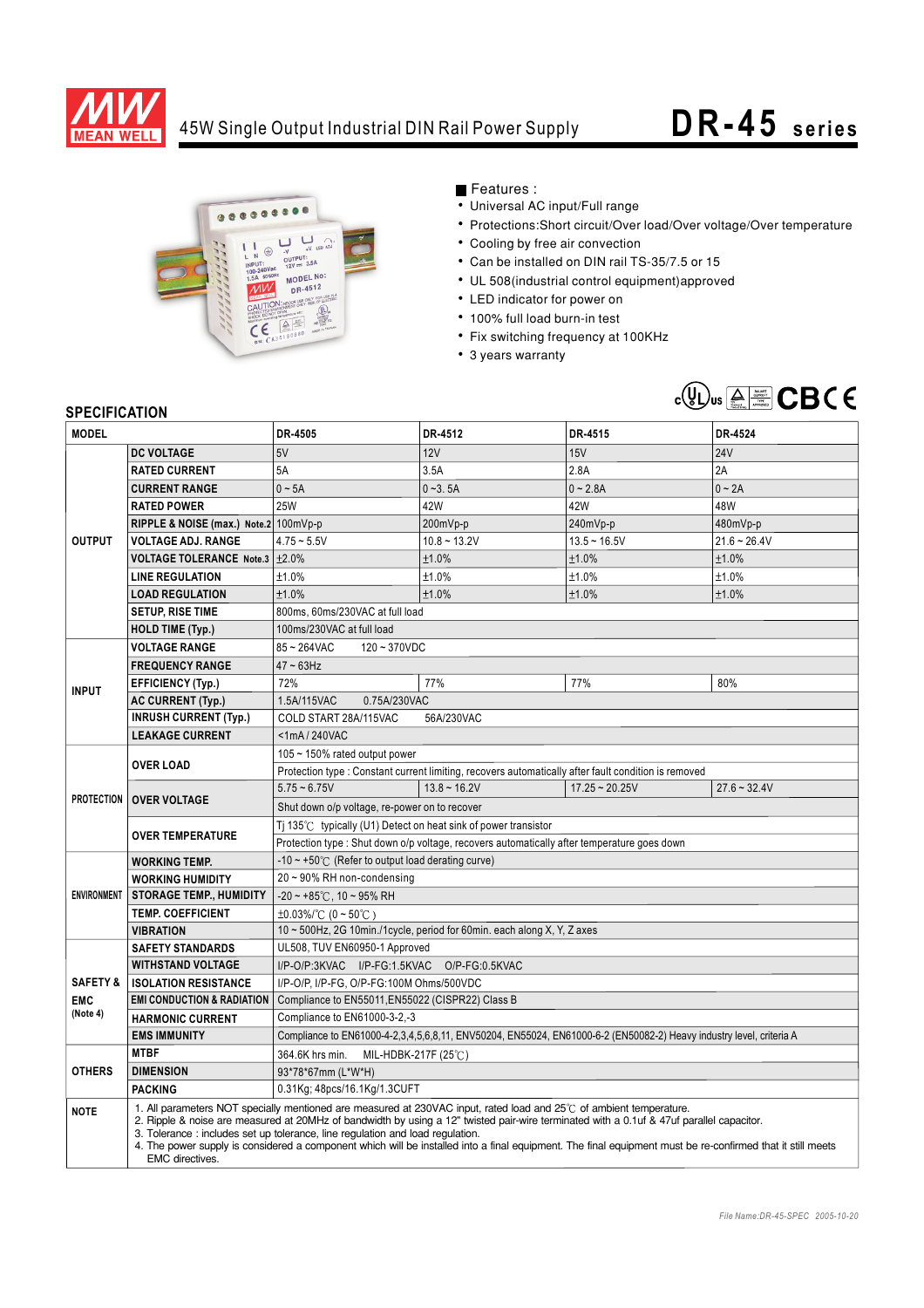

## 45W Single Output Industrial DIN Rail Power Supply **DR-45** series



Features :

- Universal AC input/Full range
- Protections:Short circuit/Over load/Over voltage/Over temperature
- Cooling by free air convection
- Can be installed on DIN rail TS-35/7.5 or 15
- UL 508(industrial control equipment)approved
- LED indicator for power on
- 100% full load burn-in test
- Fix switching frequency at 100KHz
- 3 years warranty



## **SPECIFICATION**

| <b>MODEL</b>                                  |                                                                                                                                                                                                                                                                                                                                                                                                                                                                                                                                   | DR-4505                                                                                                             | DR-4512        | DR-4515          | DR-4524        |
|-----------------------------------------------|-----------------------------------------------------------------------------------------------------------------------------------------------------------------------------------------------------------------------------------------------------------------------------------------------------------------------------------------------------------------------------------------------------------------------------------------------------------------------------------------------------------------------------------|---------------------------------------------------------------------------------------------------------------------|----------------|------------------|----------------|
|                                               | <b>DC VOLTAGE</b>                                                                                                                                                                                                                                                                                                                                                                                                                                                                                                                 | 5V                                                                                                                  | 12V            | 15V              | <b>24V</b>     |
| <b>OUTPUT</b>                                 | <b>RATED CURRENT</b>                                                                                                                                                                                                                                                                                                                                                                                                                                                                                                              | 5A                                                                                                                  | 3.5A           | 2.8A             | 2A             |
|                                               | <b>CURRENT RANGE</b>                                                                                                                                                                                                                                                                                                                                                                                                                                                                                                              | $0 - 5A$                                                                                                            | $0 - 3.5A$     | $0 - 2.8A$       | $0 - 2A$       |
|                                               | <b>RATED POWER</b>                                                                                                                                                                                                                                                                                                                                                                                                                                                                                                                | <b>25W</b>                                                                                                          | 42W            | 42W              | 48W            |
|                                               | RIPPLE & NOISE (max.) Note.2 100mVp-p                                                                                                                                                                                                                                                                                                                                                                                                                                                                                             |                                                                                                                     | 200mVp-p       | 240mVp-p         | 480mVp-p       |
|                                               | <b>VOLTAGE ADJ. RANGE</b>                                                                                                                                                                                                                                                                                                                                                                                                                                                                                                         | $4.75 - 5.5V$                                                                                                       | $10.8 - 13.2V$ | $13.5 - 16.5V$   | $21.6 - 26.4V$ |
|                                               | VOLTAGE TOLERANCE Note.3 ±2.0%                                                                                                                                                                                                                                                                                                                                                                                                                                                                                                    |                                                                                                                     | ±1.0%          | ±1.0%            | ±1.0%          |
|                                               | <b>LINE REGULATION</b>                                                                                                                                                                                                                                                                                                                                                                                                                                                                                                            | ±1.0%                                                                                                               | ±1.0%          | ±1.0%            | ±1.0%          |
|                                               | <b>LOAD REGULATION</b>                                                                                                                                                                                                                                                                                                                                                                                                                                                                                                            | ±1.0%                                                                                                               | ±1.0%          | ±1.0%            | ±1.0%          |
|                                               | <b>SETUP, RISE TIME</b>                                                                                                                                                                                                                                                                                                                                                                                                                                                                                                           | 800ms, 60ms/230VAC at full load                                                                                     |                |                  |                |
|                                               | <b>HOLD TIME (Typ.)</b>                                                                                                                                                                                                                                                                                                                                                                                                                                                                                                           | 100ms/230VAC at full load                                                                                           |                |                  |                |
|                                               | <b>VOLTAGE RANGE</b>                                                                                                                                                                                                                                                                                                                                                                                                                                                                                                              | 85~264VAC<br>$120 - 370 VDC$                                                                                        |                |                  |                |
| <b>INPUT</b>                                  | <b>FREQUENCY RANGE</b>                                                                                                                                                                                                                                                                                                                                                                                                                                                                                                            | $47 - 63$ Hz                                                                                                        |                |                  |                |
|                                               | <b>EFFICIENCY (Typ.)</b>                                                                                                                                                                                                                                                                                                                                                                                                                                                                                                          | 72%                                                                                                                 | 77%            | 77%              | 80%            |
|                                               | <b>AC CURRENT (Typ.)</b>                                                                                                                                                                                                                                                                                                                                                                                                                                                                                                          | 1.5A/115VAC<br>0.75A/230VAC                                                                                         |                |                  |                |
|                                               | <b>INRUSH CURRENT (Typ.)</b>                                                                                                                                                                                                                                                                                                                                                                                                                                                                                                      | COLD START 28A/115VAC<br>56A/230VAC                                                                                 |                |                  |                |
|                                               | <b>LEAKAGE CURRENT</b>                                                                                                                                                                                                                                                                                                                                                                                                                                                                                                            | <1mA/240VAC                                                                                                         |                |                  |                |
| <b>PROTECTION</b>                             | <b>OVER LOAD</b>                                                                                                                                                                                                                                                                                                                                                                                                                                                                                                                  | 105 ~ 150% rated output power                                                                                       |                |                  |                |
|                                               |                                                                                                                                                                                                                                                                                                                                                                                                                                                                                                                                   | Protection type : Constant current limiting, recovers automatically after fault condition is removed                |                |                  |                |
|                                               | <b>OVER VOLTAGE</b>                                                                                                                                                                                                                                                                                                                                                                                                                                                                                                               | $5.75 - 6.75V$                                                                                                      | $13.8 - 16.2V$ | $17.25 - 20.25V$ | $27.6 - 32.4V$ |
|                                               |                                                                                                                                                                                                                                                                                                                                                                                                                                                                                                                                   | Shut down o/p voltage, re-power on to recover                                                                       |                |                  |                |
|                                               | <b>OVER TEMPERATURE</b>                                                                                                                                                                                                                                                                                                                                                                                                                                                                                                           | Ti 135 $\degree$ C typically (U1) Detect on heat sink of power transistor                                           |                |                  |                |
|                                               |                                                                                                                                                                                                                                                                                                                                                                                                                                                                                                                                   | Protection type : Shut down o/p voltage, recovers automatically after temperature goes down                         |                |                  |                |
| <b>ENVIRONMENT</b>                            | <b>WORKING TEMP.</b>                                                                                                                                                                                                                                                                                                                                                                                                                                                                                                              | -10 $\sim$ +50 $\degree$ C (Refer to output load derating curve)                                                    |                |                  |                |
|                                               | <b>WORKING HUMIDITY</b>                                                                                                                                                                                                                                                                                                                                                                                                                                                                                                           | 20~90% RH non-condensing                                                                                            |                |                  |                |
|                                               | <b>STORAGE TEMP., HUMIDITY</b>                                                                                                                                                                                                                                                                                                                                                                                                                                                                                                    | $-20 \sim +85^{\circ}$ C, 10 ~ 95% RH                                                                               |                |                  |                |
|                                               | <b>TEMP. COEFFICIENT</b>                                                                                                                                                                                                                                                                                                                                                                                                                                                                                                          | $\pm 0.03\%$ /°C (0 ~ 50°C)                                                                                         |                |                  |                |
|                                               | <b>VIBRATION</b>                                                                                                                                                                                                                                                                                                                                                                                                                                                                                                                  | 10 ~ 500Hz, 2G 10min./1cycle, period for 60min. each along X, Y, Z axes                                             |                |                  |                |
| <b>SAFETY &amp;</b><br><b>EMC</b><br>(Note 4) | <b>SAFETY STANDARDS</b>                                                                                                                                                                                                                                                                                                                                                                                                                                                                                                           | UL508, TUV EN60950-1 Approved                                                                                       |                |                  |                |
|                                               | <b>WITHSTAND VOLTAGE</b>                                                                                                                                                                                                                                                                                                                                                                                                                                                                                                          | I/P-O/P:3KVAC I/P-FG:1.5KVAC<br>O/P-FG:0.5KVAC                                                                      |                |                  |                |
|                                               | <b>ISOLATION RESISTANCE</b>                                                                                                                                                                                                                                                                                                                                                                                                                                                                                                       | I/P-O/P, I/P-FG, O/P-FG:100M Ohms/500VDC                                                                            |                |                  |                |
|                                               | <b>EMI CONDUCTION &amp; RADIATION</b>                                                                                                                                                                                                                                                                                                                                                                                                                                                                                             | Compliance to EN55011, EN55022 (CISPR22) Class B                                                                    |                |                  |                |
|                                               | <b>HARMONIC CURRENT</b><br><b>EMS IMMUNITY</b>                                                                                                                                                                                                                                                                                                                                                                                                                                                                                    | Compliance to EN61000-3-2,-3                                                                                        |                |                  |                |
| <b>OTHERS</b>                                 | <b>MTBF</b>                                                                                                                                                                                                                                                                                                                                                                                                                                                                                                                       | Compliance to EN61000-4-2,3,4,5,6,8,11, ENV50204, EN55024, EN61000-6-2 (EN50082-2) Heavy industry level, criteria A |                |                  |                |
|                                               | <b>DIMENSION</b>                                                                                                                                                                                                                                                                                                                                                                                                                                                                                                                  | 364.6K hrs min.<br>MIL-HDBK-217F (25 $°C$ )                                                                         |                |                  |                |
|                                               |                                                                                                                                                                                                                                                                                                                                                                                                                                                                                                                                   | 93*78*67mm (L*W*H)                                                                                                  |                |                  |                |
|                                               | <b>PACKING</b>                                                                                                                                                                                                                                                                                                                                                                                                                                                                                                                    | 0.31Kg; 48pcs/16.1Kg/1.3CUFT                                                                                        |                |                  |                |
| <b>NOTE</b>                                   | 1. All parameters NOT specially mentioned are measured at 230VAC input, rated load and 25°C of ambient temperature.<br>2. Ripple & noise are measured at 20MHz of bandwidth by using a 12" twisted pair-wire terminated with a 0.1uf & 47uf parallel capacitor.<br>3. Tolerance: includes set up tolerance, line regulation and load regulation.<br>4. The power supply is considered a component which will be installed into a final equipment. The final equipment must be re-confirmed that it still meets<br>EMC directives. |                                                                                                                     |                |                  |                |